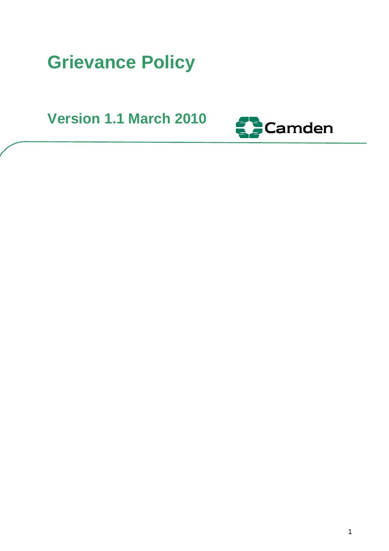# **Grievance Policy**

**Version 1.1 March 2010** 

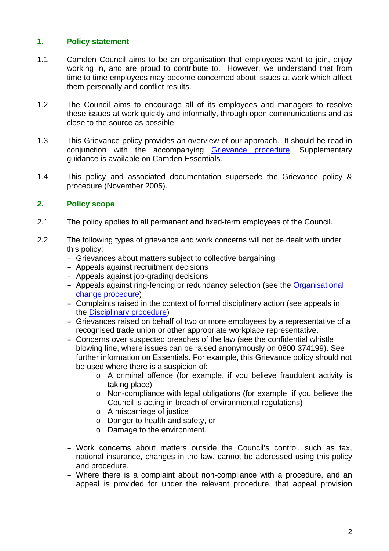#### **1. Policy statement**

- 1.1 Camden Council aims to be an organisation that employees want to join, enjoy working in, and are proud to contribute to. However, we understand that from time to time employees may become concerned about issues at work which affect them personally and conflict results.
- 1.2 The Council aims to encourage all of its employees and managers to resolve these issues at work quickly and informally, through open communications and as close to the source as possible.
- 1.3 This Grievance policy provides an overview of our approach. It should be read in conjunction with the accompanying Grievance procedure. Supplementary guidance is available on Camden Essentials.
- 1.4 This policy and associated documentation supersede the Grievance policy & procedure (November 2005).

#### **2. Policy scope**

- 2.1 The policy applies to all permanent and fixed-term employees of the Council.
- 2.2 The following types of grievance and work concerns will not be dealt with under this policy:
	- Grievances about matters subject to collective bargaining
	- Appeals against recruitment decisions
	- Appeals against job-grading decisions
	- Appeals against ring-fencing or redundancy selection (see the Organisational change procedure)
	- Complaints raised in the context of formal disciplinary action (see appeals in the Disciplinary procedure)
	- Grievances raised on behalf of two or more employees by a representative of a recognised trade union or other appropriate workplace representative.
	- Concerns over suspected breaches of the law (see the confidential whistle blowing line, where issues can be raised anonymously on 0800 374199). See further information on Essentials. For example, this Grievance policy should not be used where there is a suspicion of:
		- o A criminal offence (for example, if you believe fraudulent activity is taking place)
		- o Non-compliance with legal obligations (for example, if you believe the Council is acting in breach of environmental regulations)
		- o A miscarriage of justice
		- o Danger to health and safety, or
		- o Damage to the environment.
	- Work concerns about matters outside the Council's control, such as tax, national insurance, changes in the law, cannot be addressed using this policy and procedure.
	- Where there is a complaint about non-compliance with a procedure, and an appeal is provided for under the relevant procedure, that appeal provision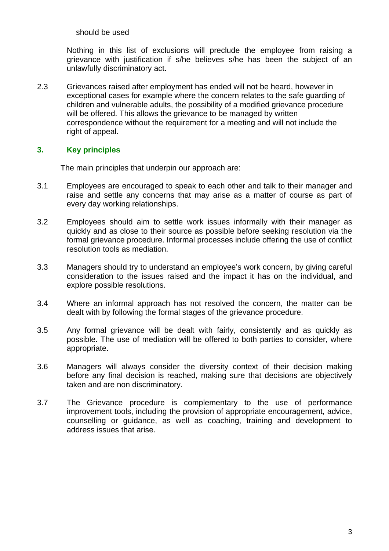should be used

Nothing in this list of exclusions will preclude the employee from raising a grievance with justification if s/he believes s/he has been the subject of an unlawfully discriminatory act.

2.3 Grievances raised after employment has ended will not be heard, however in exceptional cases for example where the concern relates to the safe guarding of children and vulnerable adults, the possibility of a modified grievance procedure will be offered. This allows the grievance to be managed by written correspondence without the requirement for a meeting and will not include the right of appeal.

#### **3. Key principles**

The main principles that underpin our approach are:

- 3.1 Employees are encouraged to speak to each other and talk to their manager and raise and settle any concerns that may arise as a matter of course as part of every day working relationships.
- 3.2 Employees should aim to settle work issues informally with their manager as quickly and as close to their source as possible before seeking resolution via the formal grievance procedure. Informal processes include offering the use of conflict resolution tools as mediation.
- 3.3 Managers should try to understand an employee's work concern, by giving careful consideration to the issues raised and the impact it has on the individual, and explore possible resolutions.
- 3.4 Where an informal approach has not resolved the concern, the matter can be dealt with by following the formal stages of the grievance procedure.
- 3.5 Any formal grievance will be dealt with fairly, consistently and as quickly as possible. The use of mediation will be offered to both parties to consider, where appropriate.
- 3.6 Managers will always consider the diversity context of their decision making before any final decision is reached, making sure that decisions are objectively taken and are non discriminatory.
- 3.7 The Grievance procedure is complementary to the use of performance improvement tools, including the provision of appropriate encouragement, advice, counselling or guidance, as well as coaching, training and development to address issues that arise.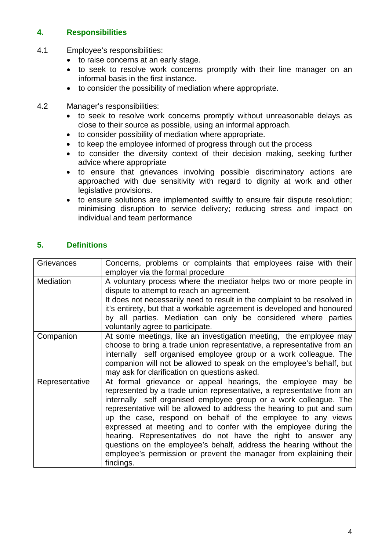## **4. Responsibilities**

- 4.1 Employee's responsibilities:
	- to raise concerns at an early stage.
	- to seek to resolve work concerns promptly with their line manager on an informal basis in the first instance.
	- to consider the possibility of mediation where appropriate.

#### 4.2 Manager's responsibilities:

- to seek to resolve work concerns promptly without unreasonable delays as close to their source as possible, using an informal approach.
- to consider possibility of mediation where appropriate.
- to keep the employee informed of progress through out the process
- to consider the diversity context of their decision making, seeking further advice where appropriate
- to ensure that grievances involving possible discriminatory actions are approached with due sensitivity with regard to dignity at work and other legislative provisions.
- to ensure solutions are implemented swiftly to ensure fair dispute resolution; minimising disruption to service delivery; reducing stress and impact on individual and team performance

## **5. Definitions**

| Grievances     | Concerns, problems or complaints that employees raise with their<br>employer via the formal procedure                                                                                                                                                                                                                                                                                                                                                                                                                                                                                                                                         |
|----------------|-----------------------------------------------------------------------------------------------------------------------------------------------------------------------------------------------------------------------------------------------------------------------------------------------------------------------------------------------------------------------------------------------------------------------------------------------------------------------------------------------------------------------------------------------------------------------------------------------------------------------------------------------|
| Mediation      | A voluntary process where the mediator helps two or more people in<br>dispute to attempt to reach an agreement.<br>It does not necessarily need to result in the complaint to be resolved in<br>it's entirety, but that a workable agreement is developed and honoured<br>by all parties. Mediation can only be considered where parties<br>voluntarily agree to participate.                                                                                                                                                                                                                                                                 |
| Companion      | At some meetings, like an investigation meeting, the employee may<br>choose to bring a trade union representative, a representative from an<br>internally self organised employee group or a work colleague. The<br>companion will not be allowed to speak on the employee's behalf, but<br>may ask for clarification on questions asked.                                                                                                                                                                                                                                                                                                     |
| Representative | At formal grievance or appeal hearings, the employee may be<br>represented by a trade union representative, a representative from an<br>internally self organised employee group or a work colleague. The<br>representative will be allowed to address the hearing to put and sum<br>up the case, respond on behalf of the employee to any views<br>expressed at meeting and to confer with the employee during the<br>hearing. Representatives do not have the right to answer any<br>questions on the employee's behalf, address the hearing without the<br>employee's permission or prevent the manager from explaining their<br>findings. |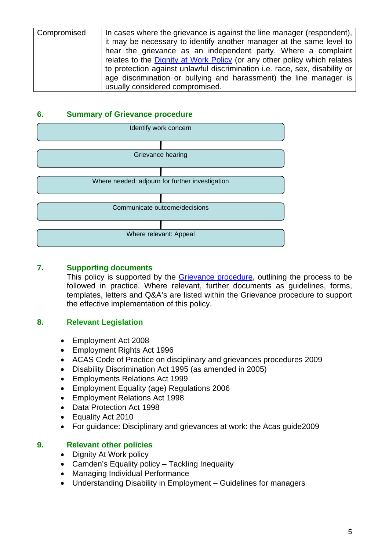| Compromised | In cases where the grievance is against the line manager (respondent),      |
|-------------|-----------------------------------------------------------------------------|
|             | it may be necessary to identify another manager at the same level to        |
|             | hear the grievance as an independent party. Where a complaint               |
|             | relates to the Dignity at Work Policy (or any other policy which relates    |
|             | to protection against unlawful discrimination i.e. race, sex, disability or |
|             | age discrimination or bullying and harassment) the line manager is          |
|             | usually considered compromised.                                             |

## **6. Summary of Grievance procedure**



#### **7. Supporting documents**

This policy is supported by the Grievance procedure, outlining the process to be followed in practice. Where relevant, further documents as guidelines, forms, templates, letters and Q&A's are listed within the Grievance procedure to support the effective implementation of this policy.

# **8. Relevant Legislation**

- Employment Act 2008
- Employment Rights Act 1996
- ACAS Code of Practice on disciplinary and grievances procedures 2009
- Disability Discrimination Act 1995 (as amended in 2005)
- Employments Relations Act 1999
- Employment Equality (age) Regulations 2006
- Employment Relations Act 1998
- Data Protection Act 1998
- Equality Act 2010
- For guidance: Disciplinary and grievances at work: the Acas guide2009

# **9. Relevant other policies**

- Dignity At Work policy
- Camden's Equality policy Tackling Inequality
- Managing Individual Performance
- Understanding Disability in Employment Guidelines for managers